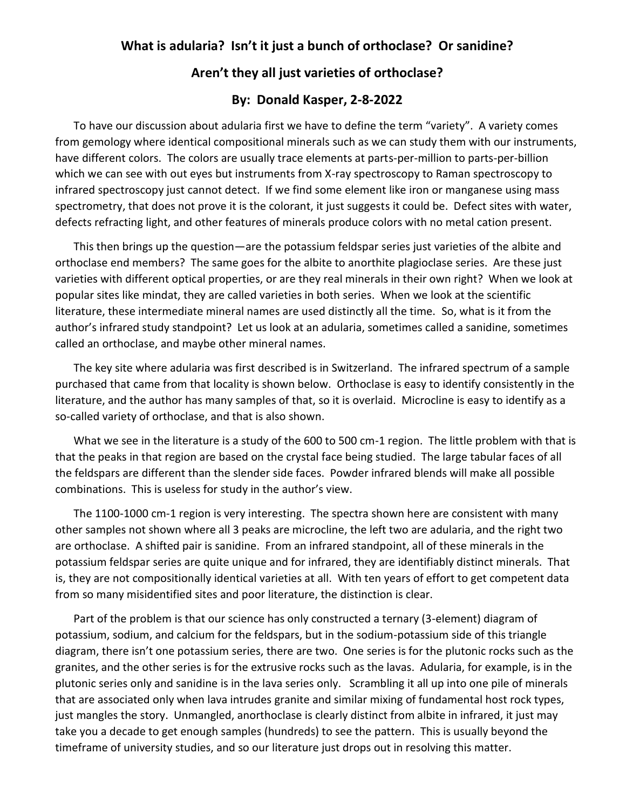## **What is adularia? Isn't it just a bunch of orthoclase? Or sanidine?**

## **Aren't they all just varieties of orthoclase?**

## **By: Donald Kasper, 2-8-2022**

To have our discussion about adularia first we have to define the term "variety". A variety comes from gemology where identical compositional minerals such as we can study them with our instruments, have different colors. The colors are usually trace elements at parts-per-million to parts-per-billion which we can see with out eyes but instruments from X-ray spectroscopy to Raman spectroscopy to infrared spectroscopy just cannot detect. If we find some element like iron or manganese using mass spectrometry, that does not prove it is the colorant, it just suggests it could be. Defect sites with water, defects refracting light, and other features of minerals produce colors with no metal cation present.

This then brings up the question—are the potassium feldspar series just varieties of the albite and orthoclase end members? The same goes for the albite to anorthite plagioclase series. Are these just varieties with different optical properties, or are they real minerals in their own right? When we look at popular sites like mindat, they are called varieties in both series. When we look at the scientific literature, these intermediate mineral names are used distinctly all the time. So, what is it from the author's infrared study standpoint? Let us look at an adularia, sometimes called a sanidine, sometimes called an orthoclase, and maybe other mineral names.

The key site where adularia was first described is in Switzerland. The infrared spectrum of a sample purchased that came from that locality is shown below. Orthoclase is easy to identify consistently in the literature, and the author has many samples of that, so it is overlaid. Microcline is easy to identify as a so-called variety of orthoclase, and that is also shown.

What we see in the literature is a study of the 600 to 500 cm-1 region. The little problem with that is that the peaks in that region are based on the crystal face being studied. The large tabular faces of all the feldspars are different than the slender side faces. Powder infrared blends will make all possible combinations. This is useless for study in the author's view.

The 1100-1000 cm-1 region is very interesting. The spectra shown here are consistent with many other samples not shown where all 3 peaks are microcline, the left two are adularia, and the right two are orthoclase. A shifted pair is sanidine. From an infrared standpoint, all of these minerals in the potassium feldspar series are quite unique and for infrared, they are identifiably distinct minerals. That is, they are not compositionally identical varieties at all. With ten years of effort to get competent data from so many misidentified sites and poor literature, the distinction is clear.

Part of the problem is that our science has only constructed a ternary (3-element) diagram of potassium, sodium, and calcium for the feldspars, but in the sodium-potassium side of this triangle diagram, there isn't one potassium series, there are two. One series is for the plutonic rocks such as the granites, and the other series is for the extrusive rocks such as the lavas. Adularia, for example, is in the plutonic series only and sanidine is in the lava series only. Scrambling it all up into one pile of minerals that are associated only when lava intrudes granite and similar mixing of fundamental host rock types, just mangles the story. Unmangled, anorthoclase is clearly distinct from albite in infrared, it just may take you a decade to get enough samples (hundreds) to see the pattern. This is usually beyond the timeframe of university studies, and so our literature just drops out in resolving this matter.